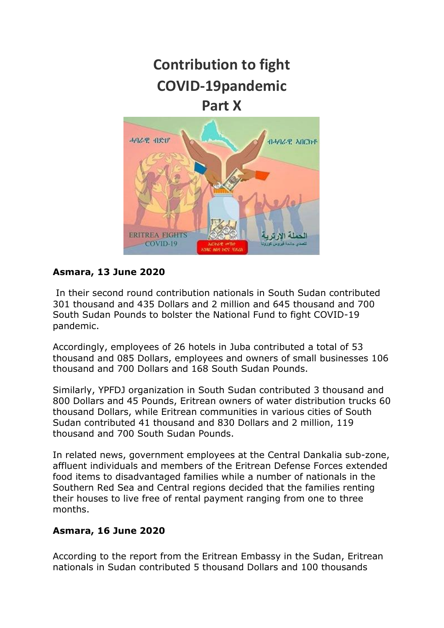

# **Asmara, 13 June 2020**

COVID-19

In their second round contribution nationals in South Sudan contributed 301 thousand and 435 Dollars and 2 million and 645 thousand and 700 South Sudan Pounds to bolster the National Fund to fight COVID-19 pandemic.

Accordingly, employees of 26 hotels in Juba contributed a total of 53 thousand and 085 Dollars, employees and owners of small businesses 106 thousand and 700 Dollars and 168 South Sudan Pounds.

Similarly, YPFDJ organization in South Sudan contributed 3 thousand and 800 Dollars and 45 Pounds, Eritrean owners of water distribution trucks 60 thousand Dollars, while Eritrean communities in various cities of South Sudan contributed 41 thousand and 830 Dollars and 2 million, 119 thousand and 700 South Sudan Pounds.

In related news, government employees at the Central Dankalia sub-zone, affluent individuals and members of the Eritrean Defense Forces extended food items to disadvantaged families while a number of nationals in the Southern Red Sea and Central regions decided that the families renting their houses to live free of rental payment ranging from one to three months.

# **Asmara, 16 June 2020**

According to the report from the Eritrean Embassy in the Sudan, Eritrean nationals in Sudan contributed 5 thousand Dollars and 100 thousands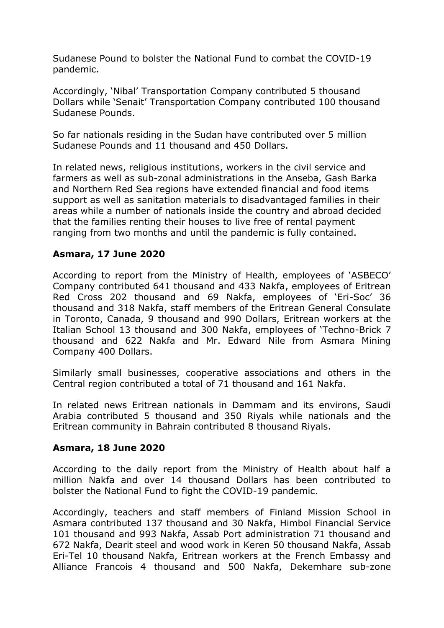Sudanese Pound to bolster the National Fund to combat the COVID-19 pandemic.

Accordingly, 'Nibal' Transportation Company contributed 5 thousand Dollars while 'Senait' Transportation Company contributed 100 thousand Sudanese Pounds.

So far nationals residing in the Sudan have contributed over 5 million Sudanese Pounds and 11 thousand and 450 Dollars.

In related news, religious institutions, workers in the civil service and farmers as well as sub-zonal administrations in the Anseba, Gash Barka and Northern Red Sea regions have extended financial and food items support as well as sanitation materials to disadvantaged families in their areas while a number of nationals inside the country and abroad decided that the families renting their houses to live free of rental payment ranging from two months and until the pandemic is fully contained.

# **Asmara, 17 June 2020**

According to report from the Ministry of Health, employees of 'ASBECO' Company contributed 641 thousand and 433 Nakfa, employees of Eritrean Red Cross 202 thousand and 69 Nakfa, employees of 'Eri-Soc' 36 thousand and 318 Nakfa, staff members of the Eritrean General Consulate in Toronto, Canada, 9 thousand and 990 Dollars, Eritrean workers at the Italian School 13 thousand and 300 Nakfa, employees of 'Techno-Brick 7 thousand and 622 Nakfa and Mr. Edward Nile from Asmara Mining Company 400 Dollars.

Similarly small businesses, cooperative associations and others in the Central region contributed a total of 71 thousand and 161 Nakfa.

In related news Eritrean nationals in Dammam and its environs, Saudi Arabia contributed 5 thousand and 350 Riyals while nationals and the Eritrean community in Bahrain contributed 8 thousand Riyals.

# **Asmara, 18 June 2020**

According to the daily report from the Ministry of Health about half a million Nakfa and over 14 thousand Dollars has been contributed to bolster the National Fund to fight the COVID-19 pandemic.

Accordingly, teachers and staff members of Finland Mission School in Asmara contributed 137 thousand and 30 Nakfa, Himbol Financial Service 101 thousand and 993 Nakfa, Assab Port administration 71 thousand and 672 Nakfa, Dearit steel and wood work in Keren 50 thousand Nakfa, Assab Eri-Tel 10 thousand Nakfa, Eritrean workers at the French Embassy and Alliance Francois 4 thousand and 500 Nakfa, Dekemhare sub-zone